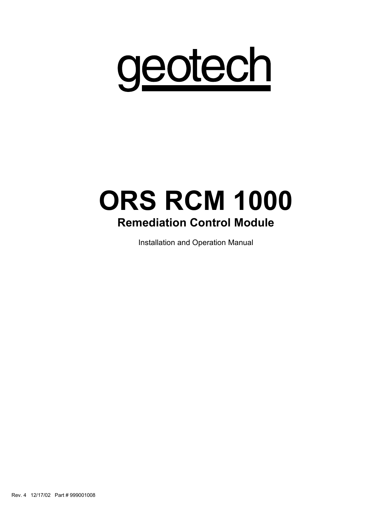

# ORS RCM 1000 Remediation Control Module

Installation and Operation Manual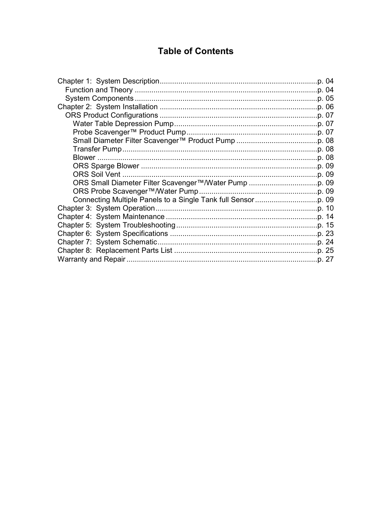# **Table of Contents**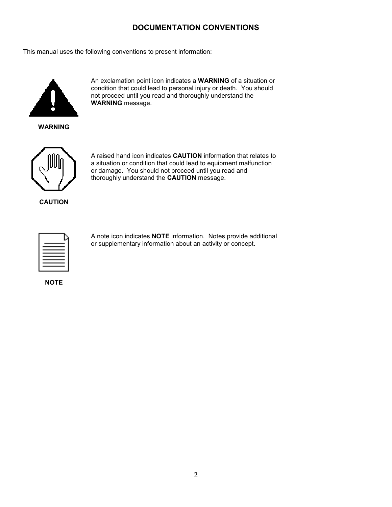#### DOCUMENTATION CONVENTIONS

This manual uses the following conventions to present information:



An exclamation point icon indicates a WARNING of a situation or condition that could lead to personal injury or death. You should not proceed until you read and thoroughly understand the WARNING message.

WARNING



A raised hand icon indicates CAUTION information that relates to a situation or condition that could lead to equipment malfunction or damage. You should not proceed until you read and thoroughly understand the CAUTION message.

**CAUTION** 



A note icon indicates NOTE information. Notes provide additional or supplementary information about an activity or concept.

**NOTE**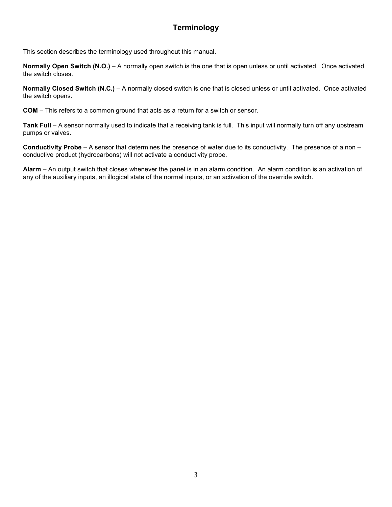### Terminology

This section describes the terminology used throughout this manual.

Normally Open Switch (N.O.) – A normally open switch is the one that is open unless or until activated. Once activated the switch closes.

Normally Closed Switch (N.C.) – A normally closed switch is one that is closed unless or until activated. Once activated the switch opens.

COM – This refers to a common ground that acts as a return for a switch or sensor.

Tank Full – A sensor normally used to indicate that a receiving tank is full. This input will normally turn off any upstream pumps or valves.

Conductivity Probe – A sensor that determines the presence of water due to its conductivity. The presence of a non – conductive product (hydrocarbons) will not activate a conductivity probe.

Alarm – An output switch that closes whenever the panel is in an alarm condition. An alarm condition is an activation of any of the auxiliary inputs, an illogical state of the normal inputs, or an activation of the override switch.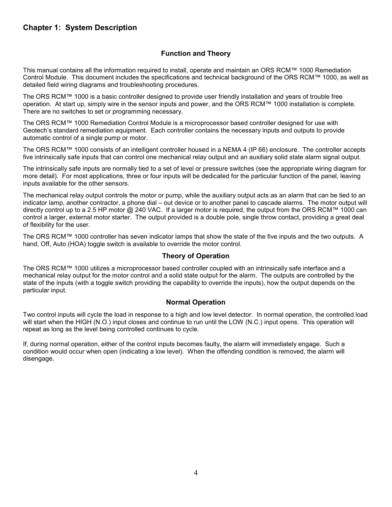#### Chapter 1: System Description

#### Function and Theory

This manual contains all the information required to install, operate and maintain an ORS RCM™ 1000 Remediation Control Module. This document includes the specifications and technical background of the ORS RCM™ 1000, as well as detailed field wiring diagrams and troubleshooting procedures.

The ORS RCM™ 1000 is a basic controller designed to provide user friendly installation and years of trouble free operation. At start up, simply wire in the sensor inputs and power, and the ORS RCM™ 1000 installation is complete. There are no switches to set or programming necessary.

The ORS RCM™ 1000 Remediation Control Module is a microprocessor based controller designed for use with Geotech's standard remediation equipment. Each controller contains the necessary inputs and outputs to provide automatic control of a single pump or motor.

The ORS RCM™ 1000 consists of an intelligent controller housed in a NEMA 4 (IP 66) enclosure. The controller accepts five intrinsically safe inputs that can control one mechanical relay output and an auxiliary solid state alarm signal output.

The intrinsically safe inputs are normally tied to a set of level or pressure switches (see the appropriate wiring diagram for more detail). For most applications, three or four inputs will be dedicated for the particular function of the panel, leaving inputs available for the other sensors.

The mechanical relay output controls the motor or pump, while the auxiliary output acts as an alarm that can be tied to an indicator lamp, another contractor, a phone dial – out device or to another panel to cascade alarms. The motor output will directly control up to a 2.5 HP motor @ 240 VAC. If a larger motor is required, the output from the ORS RCM™ 1000 can control a larger, external motor starter. The output provided is a double pole, single throw contact, providing a great deal of flexibility for the user.

The ORS RCM™ 1000 controller has seven indicator lamps that show the state of the five inputs and the two outputs. A hand, Off, Auto (HOA) toggle switch is available to override the motor control.

#### Theory of Operation

The ORS RCM™ 1000 utilizes a microprocessor based controller coupled with an intrinsically safe interface and a mechanical relay output for the motor control and a solid state output for the alarm. The outputs are controlled by the state of the inputs (with a toggle switch providing the capability to override the inputs), how the output depends on the particular input.

#### Normal Operation

Two control inputs will cycle the load in response to a high and low level detector. In normal operation, the controlled load will start when the HIGH (N.O.) input closes and continue to run until the LOW (N.C.) input opens. This operation will repeat as long as the level being controlled continues to cycle.

If, during normal operation, either of the control inputs becomes faulty, the alarm will immediately engage. Such a condition would occur when open (indicating a low level). When the offending condition is removed, the alarm will disengage.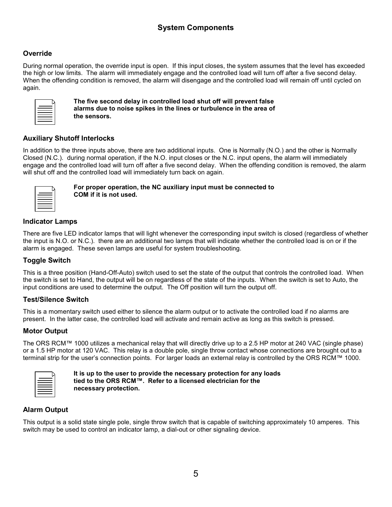#### **Override**

During normal operation, the override input is open. If this input closes, the system assumes that the level has exceeded the high or low limits. The alarm will immediately engage and the controlled load will turn off after a five second delay. When the offending condition is removed, the alarm will disengage and the controlled load will remain off until cycled on again.

| _         |  |
|-----------|--|
| __<br>___ |  |
| __        |  |
|           |  |

The five second delay in controlled load shut off will prevent false alarms due to noise spikes in the lines or turbulence in the area of the sensors.

#### Auxiliary Shutoff Interlocks

In addition to the three inputs above, there are two additional inputs. One is Normally (N.O.) and the other is Normally Closed (N.C.). during normal operation, if the N.O. input closes or the N.C. input opens, the alarm will immediately engage and the controlled load will turn off after a five second delay. When the offending condition is removed, the alarm will shut off and the controlled load will immediately turn back on again.

| ٠<br>- | _<br>__            |  |
|--------|--------------------|--|
|        | __<br>____<br>____ |  |
|        |                    |  |

For proper operation, the NC auxiliary input must be connected to COM if it is not used.

#### Indicator Lamps

There are five LED indicator lamps that will light whenever the corresponding input switch is closed (regardless of whether the input is N.O. or N.C.). there are an additional two lamps that will indicate whether the controlled load is on or if the alarm is engaged. These seven lamps are useful for system troubleshooting.

#### Toggle Switch

This is a three position (Hand-Off-Auto) switch used to set the state of the output that controls the controlled load. When the switch is set to Hand, the output will be on regardless of the state of the inputs. When the switch is set to Auto, the input conditions are used to determine the output. The Off position will turn the output off.

#### Test/Silence Switch

This is a momentary switch used either to silence the alarm output or to activate the controlled load if no alarms are present. In the latter case, the controlled load will activate and remain active as long as this switch is pressed.

#### Motor Output

The ORS RCM™ 1000 utilizes a mechanical relay that will directly drive up to a 2.5 HP motor at 240 VAC (single phase) or a 1.5 HP motor at 120 VAC. This relay is a double pole, single throw contact whose connections are brought out to a terminal strip for the user's connection points. For larger loads an external relay is controlled by the ORS RCM™ 1000.

| _<br>____<br>_____ |  |
|--------------------|--|
| ___<br>___         |  |
| __<br>-<br>_____   |  |

It is up to the user to provide the necessary protection for any loads tied to the ORS RCM™. Refer to a licensed electrician for the necessary protection.

#### Alarm Output

This output is a solid state single pole, single throw switch that is capable of switching approximately 10 amperes. This switch may be used to control an indicator lamp, a dial-out or other signaling device.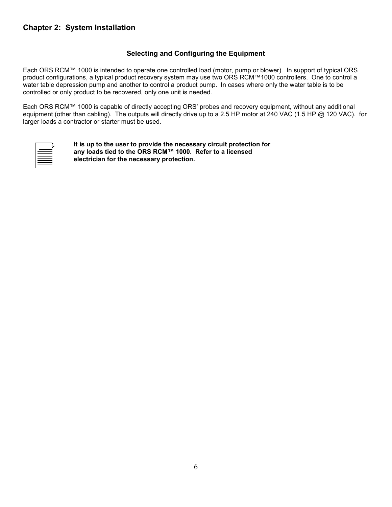#### Selecting and Configuring the Equipment

Each ORS RCM™ 1000 is intended to operate one controlled load (motor, pump or blower). In support of typical ORS product configurations, a typical product recovery system may use two ORS RCM™1000 controllers. One to control a water table depression pump and another to control a product pump. In cases where only the water table is to be controlled or only product to be recovered, only one unit is needed.

Each ORS RCM™ 1000 is capable of directly accepting ORS' probes and recovery equipment, without any additional equipment (other than cabling). The outputs will directly drive up to a 2.5 HP motor at 240 VAC (1.5 HP @ 120 VAC). for larger loads a contractor or starter must be used.

| ___          |  |
|--------------|--|
| _____<br>___ |  |
| _____<br>__  |  |
|              |  |

It is up to the user to provide the necessary circuit protection for any loads tied to the ORS RCM™ 1000. Refer to a licensed electrician for the necessary protection.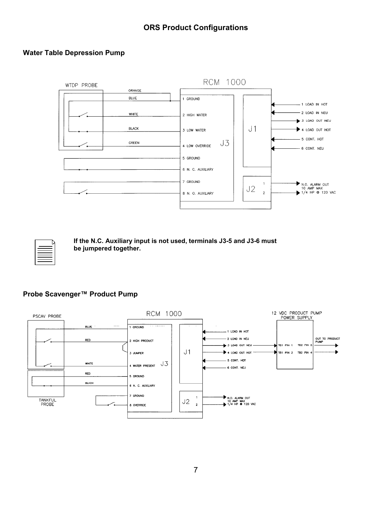#### Water Table Depression Pump



If the N.C. Auxiliary input is not used, terminals J3-5 and J3-6 must be jumpered together.

#### Probe Scavenger™ Product Pump

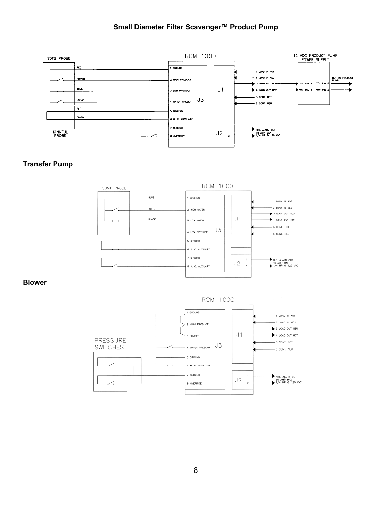#### Small Diameter Filter Scavenger™ Product Pump



#### Transfer Pump



#### Blower

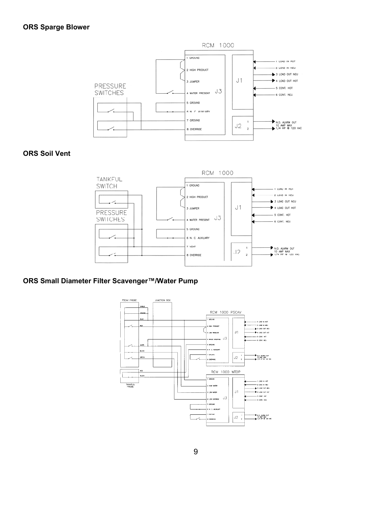#### ORS Sparge Blower



ORS Soil Vent



#### ORS Small Diameter Filter Scavenger™/Water Pump

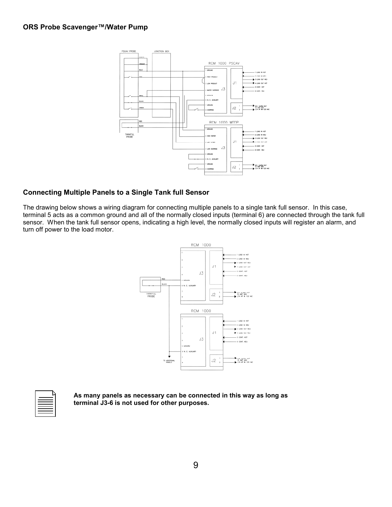#### ORS Probe Scavenger™/Water Pump



#### Connecting Multiple Panels to a Single Tank full Sensor

The drawing below shows a wiring diagram for connecting multiple panels to a single tank full sensor. In this case, terminal 5 acts as a common ground and all of the normally closed inputs (terminal 6) are connected through the tank full sensor. When the tank full sensor opens, indicating a high level, the normally closed inputs will register an alarm, and turn off power to the load motor.



| __                            |
|-------------------------------|
| ___<br>_____<br>____<br>_____ |
| ____<br>_____                 |
|                               |

As many panels as necessary can be connected in this way as long as terminal J3-6 is not used for other purposes.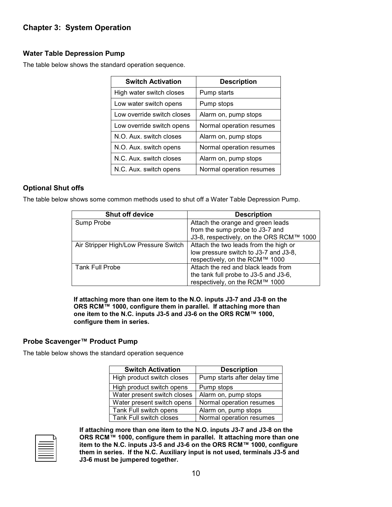#### Water Table Depression Pump

The table below shows the standard operation sequence.

| <b>Switch Activation</b>   | <b>Description</b>       |
|----------------------------|--------------------------|
| High water switch closes   | Pump starts              |
| Low water switch opens     | Pump stops               |
| Low override switch closes | Alarm on, pump stops     |
| Low override switch opens  | Normal operation resumes |
| N.O. Aux. switch closes    | Alarm on, pump stops     |
| N.O. Aux. switch opens     | Normal operation resumes |
| N.C. Aux. switch closes    | Alarm on, pump stops     |
| N.C. Aux. switch opens     | Normal operation resumes |

#### Optional Shut offs

The table below shows some common methods used to shut off a Water Table Depression Pump.

| <b>Shut off device</b>                | <b>Description</b>                       |
|---------------------------------------|------------------------------------------|
| Sump Probe                            | Attach the orange and green leads        |
|                                       | from the sump probe to J3-7 and          |
|                                       | J3-8, respectively, on the ORS RCM™ 1000 |
| Air Stripper High/Low Pressure Switch | Attach the two leads from the high or    |
|                                       | low pressure switch to J3-7 and J3-8,    |
|                                       | respectively, on the RCM™ 1000           |
| <b>Tank Full Probe</b>                | Attach the red and black leads from      |
|                                       | the tank full probe to J3-5 and J3-6,    |
|                                       | respectively, on the RCM™ 1000           |

If attaching more than one item to the N.O. inputs J3-7 and J3-8 on the ORS RCM™ 1000, configure them in parallel. If attaching more than one item to the N.C. inputs J3-5 and J3-6 on the ORS RCM™ 1000, configure them in series.

#### Probe Scavenger™ Product Pump

The table below shows the standard operation sequence

| <b>Switch Activation</b>    | <b>Description</b>           |
|-----------------------------|------------------------------|
| High product switch closes  | Pump starts after delay time |
| High product switch opens   | Pump stops                   |
| Water present switch closes | Alarm on, pump stops         |
| Water present switch opens  | Normal operation resumes     |
| Tank Full switch opens      | Alarm on, pump stops         |
| Tank Full switch closes     | Normal operation resumes     |

| ____                      |  |
|---------------------------|--|
| _______<br>_____<br>_____ |  |
| ____<br>_____             |  |
| _____                     |  |

If attaching more than one item to the N.O. inputs J3-7 and J3-8 on the ORS RCM™ 1000, configure them in parallel. It attaching more than one item to the N.C. inputs J3-5 and J3-6 on the ORS RCM™ 1000, configure them in series. If the N.C. Auxiliary input is not used, terminals J3-5 and J3-6 must be jumpered together.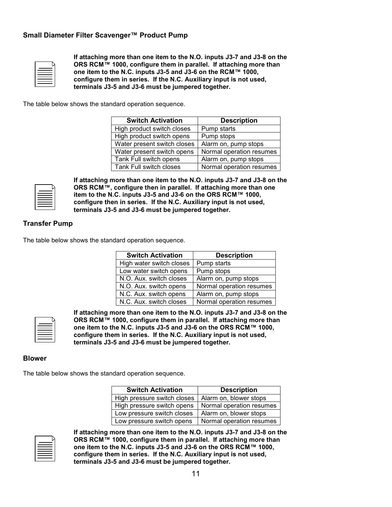#### Small Diameter Filter Scavenger™ Product Pump

| ___<br>_____<br>_____       |  |
|-----------------------------|--|
| __<br>____<br>____<br>_____ |  |

If attaching more than one item to the N.O. inputs J3-7 and J3-8 on the ORS RCM™ 1000, configure them in parallel. If attaching more than one item to the N.C. inputs J3-5 and J3-6 on the RCM™ 1000, configure them in series. If the N.C. Auxiliary input is not used, terminals J3-5 and J3-6 must be jumpered together.

The table below shows the standard operation sequence.

| <b>Switch Activation</b>    | <b>Description</b>       |
|-----------------------------|--------------------------|
| High product switch closes  | Pump starts              |
| High product switch opens   | Pump stops               |
| Water present switch closes | Alarm on, pump stops     |
| Water present switch opens  | Normal operation resumes |
| Tank Full switch opens      | Alarm on, pump stops     |
| Tank Full switch closes     | Normal operation resumes |

| -<br>_____<br>__  |  |
|-------------------|--|
| _<br>___<br>_____ |  |
| __                |  |

If attaching more than one item to the N.O. inputs J3-7 and J3-8 on the ORS RCM™, configure then in parallel. If attaching more than one item to the N.C. inputs J3-5 and J3-6 on the ORS RCM™ 1000, configure then in series. If the N.C. Auxiliary input is not used, terminals J3-5 and J3-6 must be jumpered together.

#### Transfer Pump

The table below shows the standard operation sequence.

| <b>Switch Activation</b> | <b>Description</b>       |
|--------------------------|--------------------------|
| High water switch closes | Pump starts              |
| Low water switch opens   | Pump stops               |
| N.O. Aux. switch closes  | Alarm on, pump stops     |
| N.O. Aux. switch opens   | Normal operation resumes |
| N.C. Aux. switch opens   | Alarm on, pump stops     |
| N.C. Aux. switch closes  | Normal operation resumes |



If attaching more than one item to the N.O. inputs J3-7 and J3-8 on the ORS RCM™ 1000, configure them in parallel. If attaching more than one item to the N.C. inputs J3-5 and J3-6 on the ORS RCM™ 1000, configure them in series. If the N.C. Auxiliary input is not used, terminals J3-5 and J3-6 must be jumpered together.

#### Blower

The table below shows the standard operation sequence.

| <b>Switch Activation</b>    | <b>Description</b>       |
|-----------------------------|--------------------------|
| High pressure switch closes | Alarm on, blower stops   |
| High pressure switch opens  | Normal operation resumes |
| Low pressure switch closes  | Alarm on, blower stops   |
| Low pressure switch opens   | Normal operation resumes |



If attaching more than one item to the N.O. inputs J3-7 and J3-8 on the ORS RCM™ 1000, configure them in parallel. If attaching more than one item to the N.C. inputs J3-5 and J3-6 on the ORS RCM™ 1000, configure them in series. If the N.C. Auxiliary input is not used, terminals J3-5 and J3-6 must be jumpered together.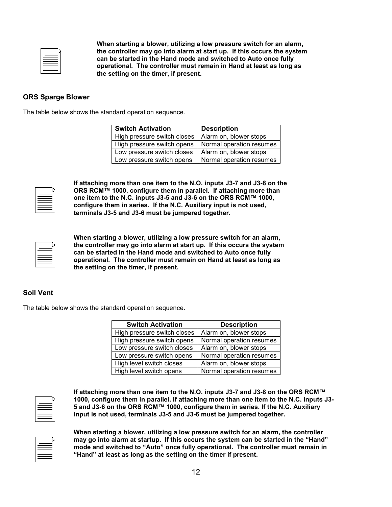| __<br>_____                                                   |  |
|---------------------------------------------------------------|--|
| _____<br>_____<br>_____                                       |  |
| $\overline{\phantom{a}}$<br>$\overline{\phantom{a}}$<br>_____ |  |
|                                                               |  |

When starting a blower, utilizing a low pressure switch for an alarm, the controller may go into alarm at start up. If this occurs the system can be started in the Hand mode and switched to Auto once fully operational. The controller must remain in Hand at least as long as the setting on the timer, if present.

#### ORS Sparge Blower

The table below shows the standard operation sequence.

| <b>Switch Activation</b>    | <b>Description</b>       |
|-----------------------------|--------------------------|
| High pressure switch closes | Alarm on, blower stops   |
| High pressure switch opens  | Normal operation resumes |
| Low pressure switch closes  | Alarm on, blower stops   |
| Low pressure switch opens   | Normal operation resumes |



If attaching more than one item to the N.O. inputs J3-7 and J3-8 on the ORS RCM™ 1000, configure them in parallel. If attaching more than one item to the N.C. inputs J3-5 and J3-6 on the ORS RCM™ 1000, configure them in series. If the N.C. Auxiliary input is not used, terminals J3-5 and J3-6 must be jumpered together.

| _                       |  |
|-------------------------|--|
| _____<br>_____<br>_____ |  |
| _____<br>____           |  |
|                         |  |

When starting a blower, utilizing a low pressure switch for an alarm, the controller may go into alarm at start up. If this occurs the system can be started in the Hand mode and switched to Auto once fully operational. The controller must remain on Hand at least as long as the setting on the timer, if present.

#### Soil Vent

The table below shows the standard operation sequence.

| <b>Switch Activation</b>    | <b>Description</b>       |
|-----------------------------|--------------------------|
| High pressure switch closes | Alarm on, blower stops   |
| High pressure switch opens  | Normal operation resumes |
| Low pressure switch closes  | Alarm on, blower stops   |
| Low pressure switch opens   | Normal operation resumes |
| High level switch closes    | Alarm on, blower stops   |
| High level switch opens     | Normal operation resumes |

| ______<br>_____<br>_____ |  |
|--------------------------|--|
| _____<br>_____           |  |
|                          |  |

If attaching more than one item to the N.O. inputs J3-7 and J3-8 on the ORS RCM™ 1000, configure them in parallel. If attaching more than one item to the N.C. inputs J3- 5 and J3-6 on the ORS RCM™ 1000, configure them in series. If the N.C. Auxiliary input is not used, terminals J3-5 and J3-6 must be jumpered together.

| __                      |  |
|-------------------------|--|
| _____<br>_____<br>_____ |  |
| _____<br>_____<br>____  |  |
| ____                    |  |

When starting a blower, utilizing a low pressure switch for an alarm, the controller may go into alarm at startup. If this occurs the system can be started in the "Hand" mode and switched to "Auto" once fully operational. The controller must remain in "Hand" at least as long as the setting on the timer if present.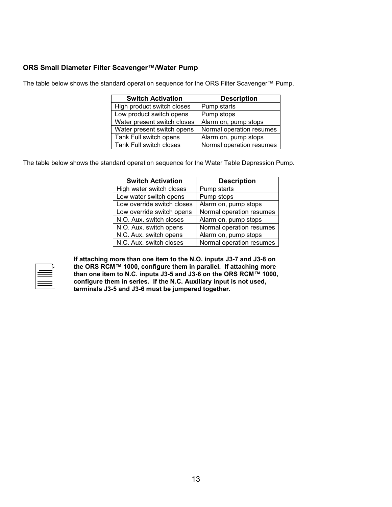#### ORS Small Diameter Filter Scavenger™/Water Pump

The table below shows the standard operation sequence for the ORS Filter Scavenger™ Pump.

| <b>Switch Activation</b>    | <b>Description</b>       |
|-----------------------------|--------------------------|
| High product switch closes  | Pump starts              |
| Low product switch opens    | Pump stops               |
| Water present switch closes | Alarm on, pump stops     |
| Water present switch opens  | Normal operation resumes |
| Tank Full switch opens      | Alarm on, pump stops     |
| Tank Full switch closes     | Normal operation resumes |

The table below shows the standard operation sequence for the Water Table Depression Pump.

| <b>Switch Activation</b>   | <b>Description</b>       |
|----------------------------|--------------------------|
| High water switch closes   | Pump starts              |
| Low water switch opens     | Pump stops               |
| Low override switch closes | Alarm on, pump stops     |
| Low override switch opens  | Normal operation resumes |
| N.O. Aux. switch closes    | Alarm on, pump stops     |
| N.O. Aux. switch opens     | Normal operation resumes |
| N.C. Aux. switch opens     | Alarm on, pump stops     |
| N.C. Aux. switch closes    | Normal operation resumes |

| __<br>____               |  |
|--------------------------|--|
| ______<br>_____<br>_____ |  |
| _____<br>_____<br>_____  |  |
| _____                    |  |

If attaching more than one item to the N.O. inputs J3-7 and J3-8 on the ORS RCM™ 1000, configure them in parallel. If attaching more than one item to N.C. inputs J3-5 and J3-6 on the ORS RCM™ 1000, configure them in series. If the N.C. Auxiliary input is not used, terminals J3-5 and J3-6 must be jumpered together.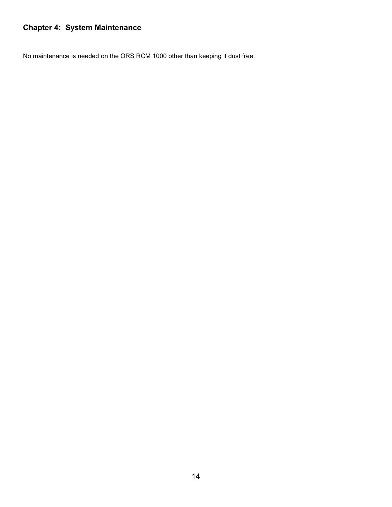## Chapter 4: System Maintenance

No maintenance is needed on the ORS RCM 1000 other than keeping it dust free.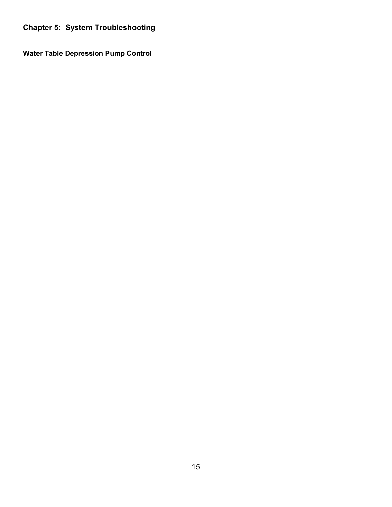Chapter 5: System Troubleshooting

Water Table Depression Pump Control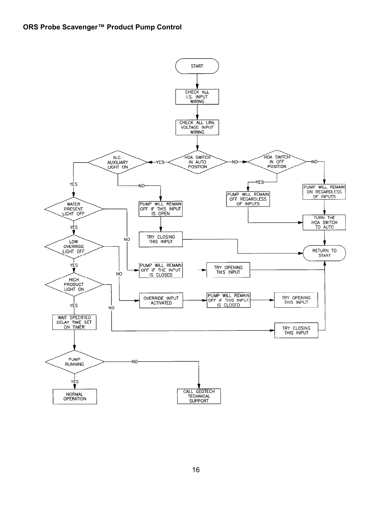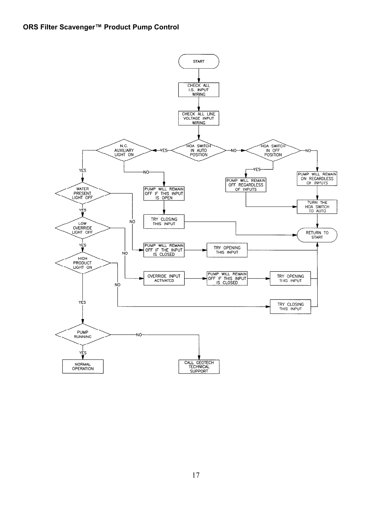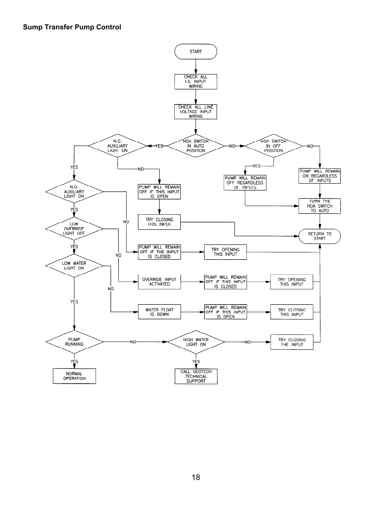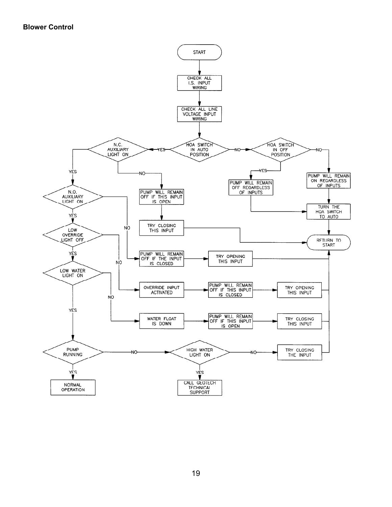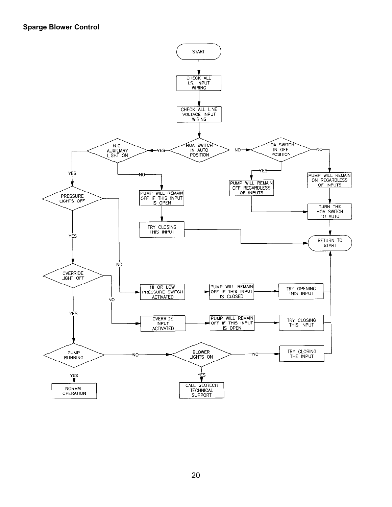#### Sparge Blower Control

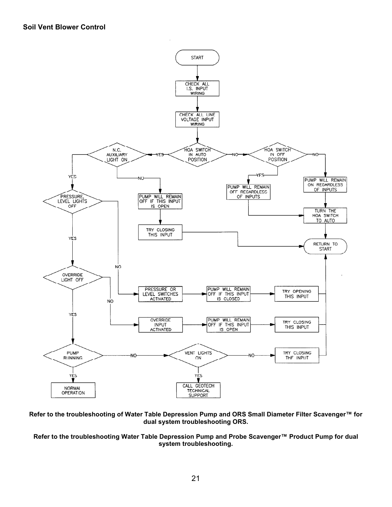

Refer to the troubleshooting of Water Table Depression Pump and ORS Small Diameter Filter Scavenger™ for dual system troubleshooting ORS.

#### Refer to the troubleshooting Water Table Depression Pump and Probe Scavenger™ Product Pump for dual system troubleshooting.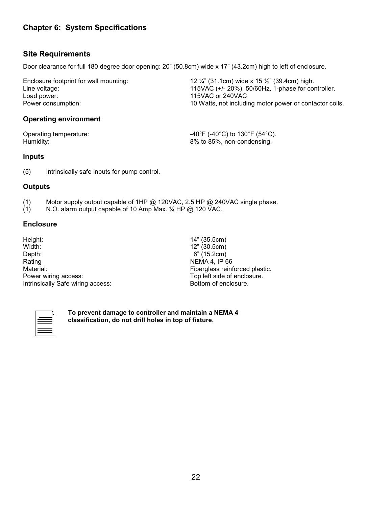#### Chapter 6: System Specifications

#### Site Requirements

Door clearance for full 180 degree door opening: 20" (50.8cm) wide x 17" (43.2cm) high to left of enclosure.

Enclosure footprint for wall mounting:  $12\frac{1}{4}$  (31.1cm) wide x 15  $\frac{1}{2}$  (39.4cm) high. Line voltage:  $\frac{115 \text{VAC}}{115 \text{VAC}}$  (+/- 20%), 50/60Hz, 1-phase for controller.<br>Load power: 115VAC or 240VAC 115VAC or 240VAC Power consumption: 10 Watts, not including motor power or contactor coils.

#### Operating environment

Operating temperature:  $-40^{\circ}F (-40^{\circ}C)$  to 130°F (54°C). Humidity: 8% to 85%, non-condensing.

#### Inputs

(5) Intrinsically safe inputs for pump control.

#### **Outputs**

- (1) Motor supply output capable of 1HP @ 120VAC, 2.5 HP @ 240VAC single phase.<br>(1) N.O. alarm output capable of 10 Amp Max.  $\frac{1}{4}$  HP @ 120 VAC.
- N.O. alarm output capable of 10 Amp Max. 1/4 HP @ 120 VAC.

#### **Enclosure**

| Height:                           |
|-----------------------------------|
| Width:                            |
| Depth:                            |
| Rating                            |
| Material:                         |
| Power wiring access:              |
| Intrinsically Safe wiring access: |

14" (35.5cm) 12" (30.5cm) 6" (15.2cm) **NEMA 4, IP 66** Fiberglass reinforced plastic. Top left side of enclosure. Bottom of enclosure.



To prevent damage to controller and maintain a NEMA 4 classification, do not drill holes in top of fixture.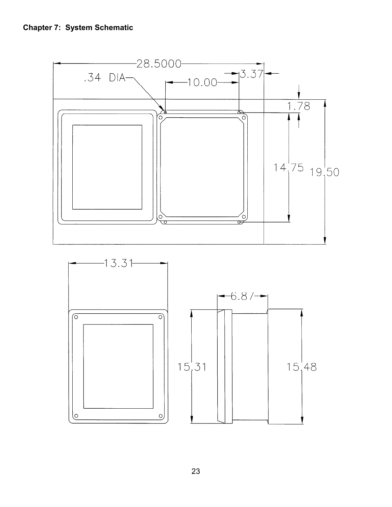

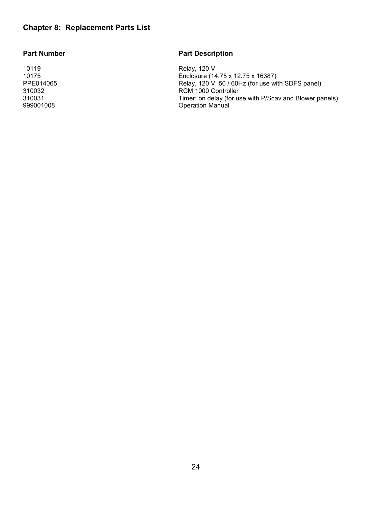#### Chapter 8: Replacement Parts List

#### Part Number **Part Description**

10119 Relay, 120 V 10175 Enclosure (14.75 x 12.75 x 16387) PPE014065 Relay, 120 V, 50 / 60Hz (for use with SDFS panel)<br>310032 RCM 1000 Controller RCM 1000 Controller 310031 Timer: on delay (for use with P/Scav and Blower panels) Operation Manual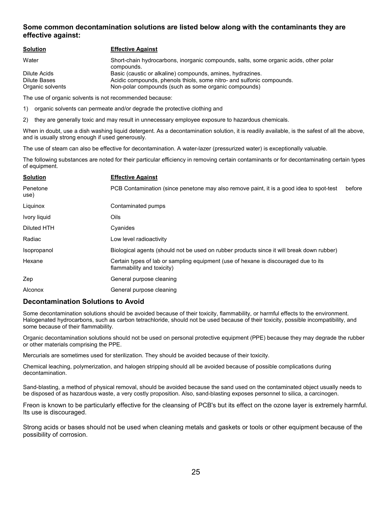#### Some common decontamination solutions are listed below along with the contaminants they are effective against:

| <b>Solution</b>  | <b>Effective Against</b>                                                                            |
|------------------|-----------------------------------------------------------------------------------------------------|
| Water            | Short-chain hydrocarbons, inorganic compounds, salts, some organic acids, other polar<br>compounds. |
| Dilute Acids     | Basic (caustic or alkaline) compounds, amines, hydrazines.                                          |
| Dilute Bases     | Acidic compounds, phenols thiols, some nitro- and sulfonic compounds.                               |
| Organic solvents | Non-polar compounds (such as some organic compounds)                                                |

The use of organic solvents is not recommended because:

1) organic solvents can permeate and/or degrade the protective clothing and

2) they are generally toxic and may result in unnecessary employee exposure to hazardous chemicals.

When in doubt, use a dish washing liquid detergent. As a decontamination solution, it is readily available, is the safest of all the above, and is usually strong enough if used generously.

The use of steam can also be effective for decontamination. A water-lazer (pressurized water) is exceptionally valuable.

The following substances are noted for their particular efficiency in removing certain contaminants or for decontaminating certain types of equipment.

| <b>Solution</b>  | <b>Effective Against</b>                                                                                          |
|------------------|-------------------------------------------------------------------------------------------------------------------|
| Penetone<br>use) | PCB Contamination (since penetone may also remove paint, it is a good idea to spot-test<br>before                 |
| Liquinox         | Contaminated pumps                                                                                                |
| Ivory liquid     | Oils                                                                                                              |
| Diluted HTH      | Cyanides                                                                                                          |
| Radiac           | Low level radioactivity                                                                                           |
| Isopropanol      | Biological agents (should not be used on rubber products since it will break down rubber)                         |
| Hexane           | Certain types of lab or sampling equipment (use of hexane is discouraged due to its<br>flammability and toxicity) |
| Zep              | General purpose cleaning                                                                                          |
| <b>Alconox</b>   | General purpose cleaning                                                                                          |

#### Decontamination Solutions to Avoid

Some decontamination solutions should be avoided because of their toxicity, flammability, or harmful effects to the environment. Halogenated hydrocarbons, such as carbon tetrachloride, should not be used because of their toxicity, possible incompatibility, and some because of their flammability.

Organic decontamination solutions should not be used on personal protective equipment (PPE) because they may degrade the rubber or other materials comprising the PPE.

Mercurials are sometimes used for sterilization. They should be avoided because of their toxicity.

Chemical leaching, polymerization, and halogen stripping should all be avoided because of possible complications during decontamination.

Sand-blasting, a method of physical removal, should be avoided because the sand used on the contaminated object usually needs to be disposed of as hazardous waste, a very costly proposition. Also, sand-blasting exposes personnel to silica, a carcinogen.

Freon is known to be particularly effective for the cleansing of PCB's but its effect on the ozone layer is extremely harmful. Its use is discouraged.

Strong acids or bases should not be used when cleaning metals and gaskets or tools or other equipment because of the possibility of corrosion.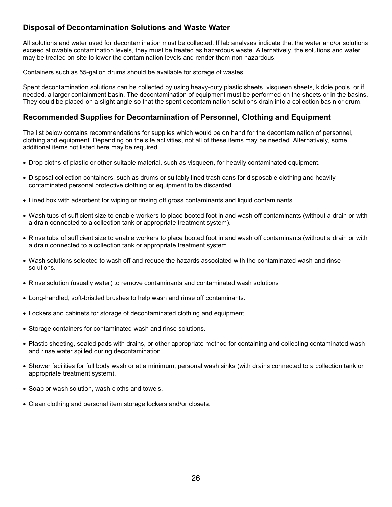#### Disposal of Decontamination Solutions and Waste Water

All solutions and water used for decontamination must be collected. If lab analyses indicate that the water and/or solutions exceed allowable contamination levels, they must be treated as hazardous waste. Alternatively, the solutions and water may be treated on-site to lower the contamination levels and render them non hazardous.

Containers such as 55-gallon drums should be available for storage of wastes.

Spent decontamination solutions can be collected by using heavy-duty plastic sheets, visqueen sheets, kiddie pools, or if needed, a larger containment basin. The decontamination of equipment must be performed on the sheets or in the basins. They could be placed on a slight angle so that the spent decontamination solutions drain into a collection basin or drum.

#### Recommended Supplies for Decontamination of Personnel, Clothing and Equipment

The list below contains recommendations for supplies which would be on hand for the decontamination of personnel, clothing and equipment. Depending on the site activities, not all of these items may be needed. Alternatively, some additional items not listed here may be required.

- Drop cloths of plastic or other suitable material, such as visqueen, for heavily contaminated equipment.
- Disposal collection containers, such as drums or suitably lined trash cans for disposable clothing and heavily contaminated personal protective clothing or equipment to be discarded.
- Lined box with adsorbent for wiping or rinsing off gross contaminants and liquid contaminants.
- Wash tubs of sufficient size to enable workers to place booted foot in and wash off contaminants (without a drain or with a drain connected to a collection tank or appropriate treatment system).
- Rinse tubs of sufficient size to enable workers to place booted foot in and wash off contaminants (without a drain or with a drain connected to a collection tank or appropriate treatment system
- Wash solutions selected to wash off and reduce the hazards associated with the contaminated wash and rinse solutions.
- Rinse solution (usually water) to remove contaminants and contaminated wash solutions
- Long-handled, soft-bristled brushes to help wash and rinse off contaminants.
- Lockers and cabinets for storage of decontaminated clothing and equipment.
- Storage containers for contaminated wash and rinse solutions.
- Plastic sheeting, sealed pads with drains, or other appropriate method for containing and collecting contaminated wash and rinse water spilled during decontamination.
- Shower facilities for full body wash or at a minimum, personal wash sinks (with drains connected to a collection tank or appropriate treatment system).
- Soap or wash solution, wash cloths and towels.
- Clean clothing and personal item storage lockers and/or closets.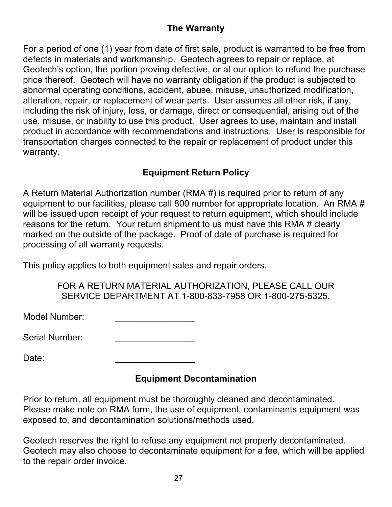# The Warranty

For a period of one (1) year from date of first sale, product is warranted to be free from defects in materials and workmanship. Geotech agrees to repair or replace, at Geotech's option, the portion proving defective, or at our option to refund the purchase price thereof. Geotech will have no warranty obligation if the product is subjected to abnormal operating conditions, accident, abuse, misuse, unauthorized modification, alteration, repair, or replacement of wear parts. User assumes all other risk, if any, including the risk of injury, loss, or damage, direct or consequential, arising out of the use, misuse, or inability to use this product. User agrees to use, maintain and install product in accordance with recommendations and instructions. User is responsible for transportation charges connected to the repair or replacement of product under this warranty.

# Equipment Return Policy

A Return Material Authorization number (RMA #) is required prior to return of any equipment to our facilities, please call 800 number for appropriate location. An RMA # will be issued upon receipt of your request to return equipment, which should include reasons for the return. Your return shipment to us must have this RMA # clearly marked on the outside of the package. Proof of date of purchase is required for processing of all warranty requests.

This policy applies to both equipment sales and repair orders.

FOR A RETURN MATERIAL AUTHORIZATION, PLEASE CALL OUR SERVICE DEPARTMENT AT 1-800-833-7958 OR 1-800-275-5325.

Model Number:

Serial Number:

Date: \_\_\_\_\_\_\_\_\_\_\_\_\_\_\_\_

# Equipment Decontamination

Prior to return, all equipment must be thoroughly cleaned and decontaminated. Please make note on RMA form, the use of equipment, contaminants equipment was exposed to, and decontamination solutions/methods used.

Geotech reserves the right to refuse any equipment not properly decontaminated. Geotech may also choose to decontaminate equipment for a fee, which will be applied to the repair order invoice.